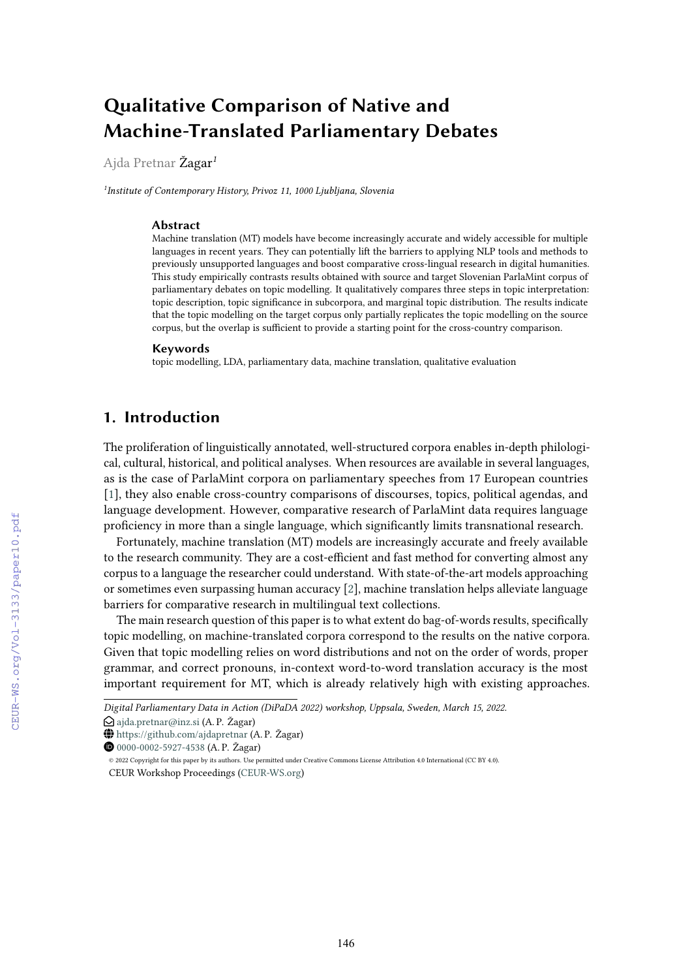# **Qualitative Comparison of Native and Machine-Translated Parliamentary Debates**

Ajda Pretnar Žagar*<sup>1</sup>*

*1 Institute of Contemporary History, Privoz 11, 1000 Ljubljana, Slovenia*

#### **Abstract**

Machine translation (MT) models have become increasingly accurate and widely accessible for multiple languages in recent years. They can potentially lift the barriers to applying NLP tools and methods to previously unsupported languages and boost comparative cross-lingual research in digital humanities. This study empirically contrasts results obtained with source and target Slovenian ParlaMint corpus of parliamentary debates on topic modelling. It qualitatively compares three steps in topic interpretation: topic description, topic significance in subcorpora, and marginal topic distribution. The results indicate that the topic modelling on the target corpus only partially replicates the topic modelling on the source corpus, but the overlap is sufficient to provide a starting point for the cross-country comparison.

#### **Keywords**

topic modelling, LDA, parliamentary data, machine translation, qualitative evaluation

# **1. Introduction**

The proliferation of linguistically annotated, well-structured corpora enables in-depth philological, cultural, historical, and political analyses. When resources are available in several languages, as is the case of ParlaMint corpora on parliamentary speeches from 17 European countries [\[1\]](#page--1-0), they also enable cross-country comparisons of discourses, topics, political agendas, and language development. However, comparative research of ParlaMint data requires language proficiency in more than a single language, which significantly limits transnational research.

Fortunately, machine translation (MT) models are increasingly accurate and freely available to the research community. They are a cost-efficient and fast method for converting almost any corpus to a language the researcher could understand. With state-of-the-art models approaching or sometimes even surpassing human accuracy [\[2\]](#page--1-1), machine translation helps alleviate language barriers for comparative research in multilingual text collections.

The main research question of this paper is to what extent do bag-of-words results, specifically topic modelling, on machine-translated corpora correspond to the results on the native corpora. Given that topic modelling relies on word distributions and not on the order of words, proper grammar, and correct pronouns, in-context word-to-word translation accuracy is the most important requirement for MT, which is already relatively high with existing approaches.

- $\bigcirc$ [ajda.pretnar@inz.si](mailto:ajda.pretnar@inz.si) (A. P. Žagar)
- $\bigoplus$  <https://github.com/ajdapretnar> (A. P. Žagar)
- Orcid [0000-0002-5927-4538](https://orcid.org/0000-0002-5927-4538) (A. P. Žagar)

*Digital Parliamentary Data in Action (DiPaDA 2022) workshop, Uppsala, Sweden, March 15, 2022.*

<sup>©</sup> 2022 Copyright for this paper by its authors. Use permitted under Creative Commons License Attribution 4.0 International (CC BY 4.0). CEUR Workshop Proceedings [\(CEUR-WS.org\)](http://ceur-ws.org)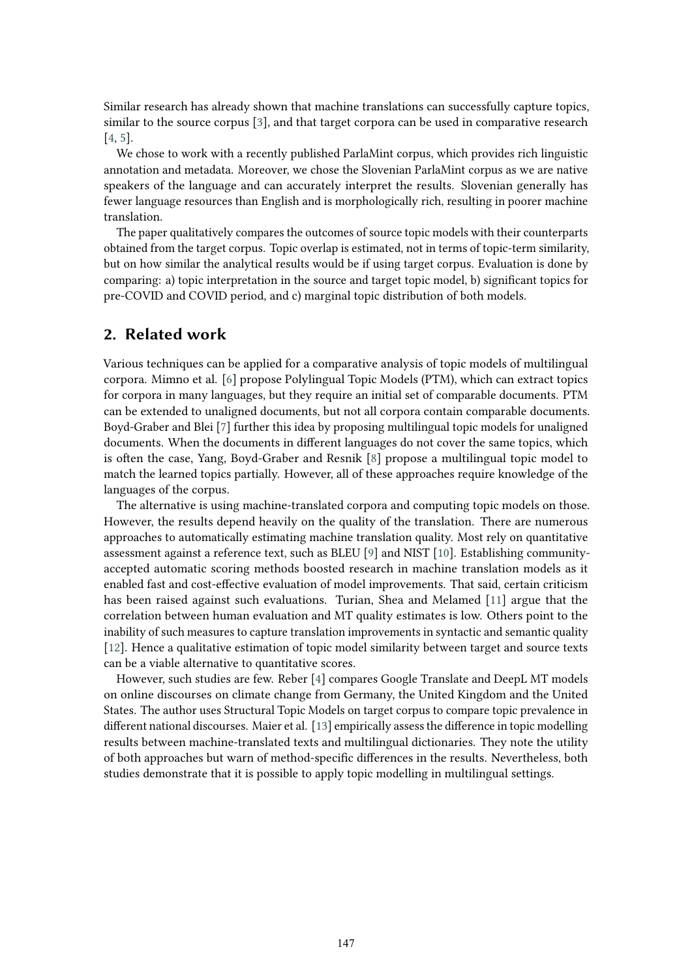Similar research has already shown that machine translations can successfully capture topics, similar to the source corpus [\[3\]](#page-8-0), and that target corpora can be used in comparative research [\[4,](#page-8-1) [5\]](#page-8-2).

We chose to work with a recently published ParlaMint corpus, which provides rich linguistic annotation and metadata. Moreover, we chose the Slovenian ParlaMint corpus as we are native speakers of the language and can accurately interpret the results. Slovenian generally has fewer language resources than English and is morphologically rich, resulting in poorer machine translation.

The paper qualitatively compares the outcomes of source topic models with their counterparts obtained from the target corpus. Topic overlap is estimated, not in terms of topic-term similarity, but on how similar the analytical results would be if using target corpus. Evaluation is done by comparing: a) topic interpretation in the source and target topic model, b) significant topics for pre-COVID and COVID period, and c) marginal topic distribution of both models.

# **2. Related work**

Various techniques can be applied for a comparative analysis of topic models of multilingual corpora. Mimno et al. [\[6\]](#page-8-3) propose Polylingual Topic Models (PTM), which can extract topics for corpora in many languages, but they require an initial set of comparable documents. PTM can be extended to unaligned documents, but not all corpora contain comparable documents. Boyd-Graber and Blei [\[7\]](#page-8-4) further this idea by proposing multilingual topic models for unaligned documents. When the documents in different languages do not cover the same topics, which is often the case, Yang, Boyd-Graber and Resnik [\[8\]](#page-8-5) propose a multilingual topic model to match the learned topics partially. However, all of these approaches require knowledge of the languages of the corpus.

The alternative is using machine-translated corpora and computing topic models on those. However, the results depend heavily on the quality of the translation. There are numerous approaches to automatically estimating machine translation quality. Most rely on quantitative assessment against a reference text, such as BLEU [\[9\]](#page-8-6) and NIST [\[10\]](#page-8-7). Establishing communityaccepted automatic scoring methods boosted research in machine translation models as it enabled fast and cost-effective evaluation of model improvements. That said, certain criticism has been raised against such evaluations. Turian, Shea and Melamed [\[11\]](#page-8-8) argue that the correlation between human evaluation and MT quality estimates is low. Others point to the inability of such measures to capture translation improvements in syntactic and semantic quality [\[12\]](#page-8-9). Hence a qualitative estimation of topic model similarity between target and source texts can be a viable alternative to quantitative scores.

However, such studies are few. Reber [\[4\]](#page-8-1) compares Google Translate and DeepL MT models on online discourses on climate change from Germany, the United Kingdom and the United States. The author uses Structural Topic Models on target corpus to compare topic prevalence in different national discourses. Maier et al. [\[13\]](#page-8-10) empirically assess the difference in topic modelling results between machine-translated texts and multilingual dictionaries. They note the utility of both approaches but warn of method-specific differences in the results. Nevertheless, both studies demonstrate that it is possible to apply topic modelling in multilingual settings.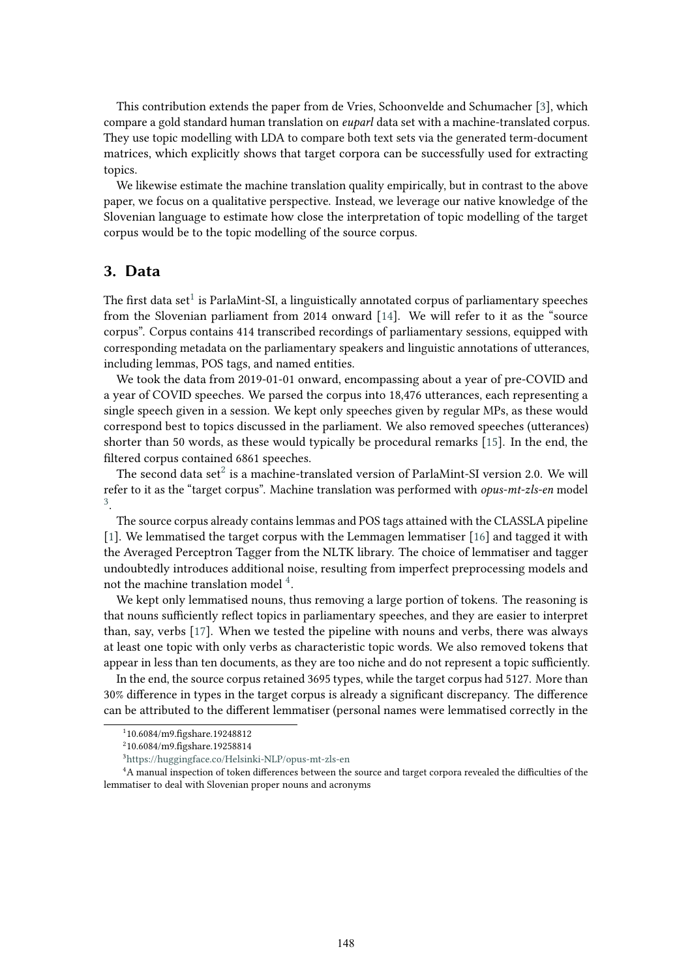This contribution extends the paper from de Vries, Schoonvelde and Schumacher [\[3\]](#page-8-0), which compare a gold standard human translation on *euparl* data set with a machine-translated corpus. They use topic modelling with LDA to compare both text sets via the generated term-document matrices, which explicitly shows that target corpora can be successfully used for extracting topics.

We likewise estimate the machine translation quality empirically, but in contrast to the above paper, we focus on a qualitative perspective. Instead, we leverage our native knowledge of the Slovenian language to estimate how close the interpretation of topic modelling of the target corpus would be to the topic modelling of the source corpus.

# **3. Data**

The first data  $\text{set}^1$  $\text{set}^1$  is ParlaMint-SI, a linguistically annotated corpus of parliamentary speeches from the Slovenian parliament from 2014 onward [\[14\]](#page-9-0). We will refer to it as the "source corpus". Corpus contains 414 transcribed recordings of parliamentary sessions, equipped with corresponding metadata on the parliamentary speakers and linguistic annotations of utterances, including lemmas, POS tags, and named entities.

We took the data from 2019-01-01 onward, encompassing about a year of pre-COVID and a year of COVID speeches. We parsed the corpus into 18,476 utterances, each representing a single speech given in a session. We kept only speeches given by regular MPs, as these would correspond best to topics discussed in the parliament. We also removed speeches (utterances) shorter than 50 words, as these would typically be procedural remarks [\[15\]](#page-9-1). In the end, the filtered corpus contained 6861 speeches.

The second data set $^2$  $^2$  is a machine-translated version of ParlaMint-SI version 2.0. We will refer to it as the "target corpus". Machine translation was performed with *opus-mt-zls-en* model [3](#page-2-2) .

The source corpus already contains lemmas and POS tags attained with the CLASSLA pipeline [\[1\]](#page-7-0). We lemmatised the target corpus with the Lemmagen lemmatiser [\[16\]](#page-9-2) and tagged it with the Averaged Perceptron Tagger from the NLTK library. The choice of lemmatiser and tagger undoubtedly introduces additional noise, resulting from imperfect preprocessing models and not the machine translation model  $^4$  $^4$ .

We kept only lemmatised nouns, thus removing a large portion of tokens. The reasoning is that nouns sufficiently reflect topics in parliamentary speeches, and they are easier to interpret than, say, verbs [\[17\]](#page-9-3). When we tested the pipeline with nouns and verbs, there was always at least one topic with only verbs as characteristic topic words. We also removed tokens that appear in less than ten documents, as they are too niche and do not represent a topic sufficiently.

In the end, the source corpus retained 3695 types, while the target corpus had 5127. More than 30% difference in types in the target corpus is already a significant discrepancy. The difference can be attributed to the different lemmatiser (personal names were lemmatised correctly in the

<span id="page-2-0"></span><sup>1</sup> 10.6084/m9.figshare.19248812

<span id="page-2-1"></span><sup>2</sup> 10.6084/m9.figshare.19258814

<span id="page-2-3"></span><span id="page-2-2"></span><sup>3</sup><https://huggingface.co/Helsinki-NLP/opus-mt-zls-en>

<sup>4</sup>A manual inspection of token differences between the source and target corpora revealed the difficulties of the lemmatiser to deal with Slovenian proper nouns and acronyms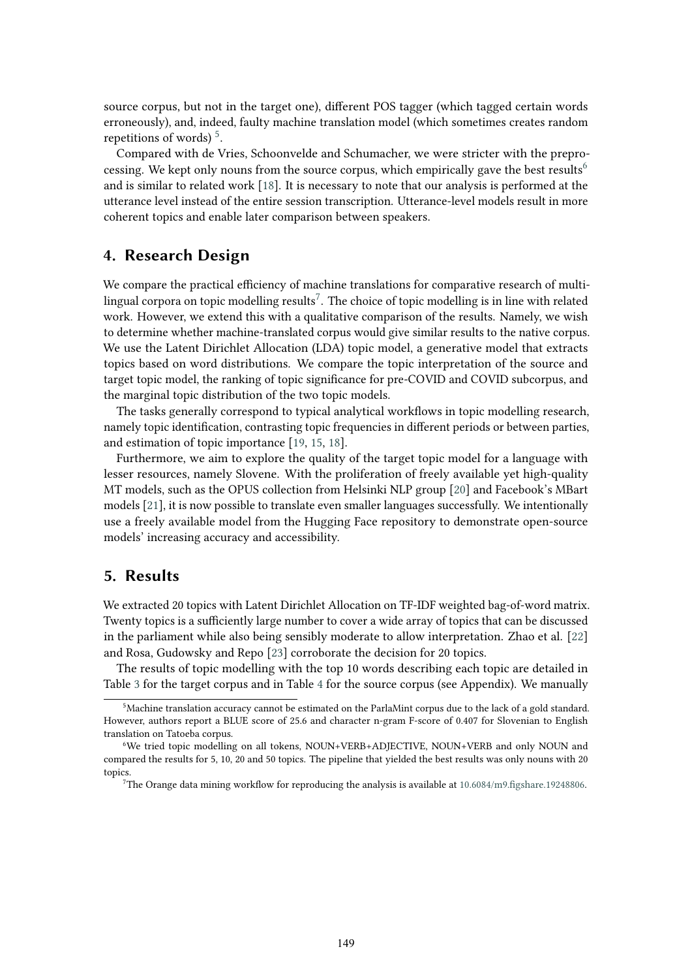source corpus, but not in the target one), different POS tagger (which tagged certain words erroneously), and, indeed, faulty machine translation model (which sometimes creates random repetitions of words) $5$ .

Compared with de Vries, Schoonvelde and Schumacher, we were stricter with the prepro-cessing. We kept only nouns from the source corpus, which empirically gave the best results<sup>[6](#page-3-1)</sup> and is similar to related work [\[18\]](#page-9-4). It is necessary to note that our analysis is performed at the utterance level instead of the entire session transcription. Utterance-level models result in more coherent topics and enable later comparison between speakers.

# **4. Research Design**

We compare the practical efficiency of machine translations for comparative research of multilingual corpora on topic modelling results $^7$  $^7$ . The choice of topic modelling is in line with related work. However, we extend this with a qualitative comparison of the results. Namely, we wish to determine whether machine-translated corpus would give similar results to the native corpus. We use the Latent Dirichlet Allocation (LDA) topic model, a generative model that extracts topics based on word distributions. We compare the topic interpretation of the source and target topic model, the ranking of topic significance for pre-COVID and COVID subcorpus, and the marginal topic distribution of the two topic models.

The tasks generally correspond to typical analytical workflows in topic modelling research, namely topic identification, contrasting topic frequencies in different periods or between parties, and estimation of topic importance [\[19,](#page-9-5) [15,](#page-9-1) [18\]](#page-9-4).

Furthermore, we aim to explore the quality of the target topic model for a language with lesser resources, namely Slovene. With the proliferation of freely available yet high-quality MT models, such as the OPUS collection from Helsinki NLP group [\[20\]](#page-9-6) and Facebook's MBart models [\[21\]](#page-9-7), it is now possible to translate even smaller languages successfully. We intentionally use a freely available model from the Hugging Face repository to demonstrate open-source models' increasing accuracy and accessibility.

# **5. Results**

We extracted 20 topics with Latent Dirichlet Allocation on TF-IDF weighted bag-of-word matrix. Twenty topics is a sufficiently large number to cover a wide array of topics that can be discussed in the parliament while also being sensibly moderate to allow interpretation. Zhao et al. [\[22\]](#page-9-8) and Rosa, Gudowsky and Repo [\[23\]](#page-9-9) corroborate the decision for 20 topics.

The results of topic modelling with the top 10 words describing each topic are detailed in Table [3](#page-10-0) for the target corpus and in Table [4](#page-11-0) for the source corpus (see Appendix). We manually

<span id="page-3-0"></span><sup>5</sup>Machine translation accuracy cannot be estimated on the ParlaMint corpus due to the lack of a gold standard. However, authors report a BLUE score of 25.6 and character n-gram F-score of 0.407 for Slovenian to English translation on Tatoeba corpus.

<span id="page-3-1"></span><sup>6</sup>We tried topic modelling on all tokens, NOUN+VERB+ADJECTIVE, NOUN+VERB and only NOUN and compared the results for 5, 10, 20 and 50 topics. The pipeline that yielded the best results was only nouns with 20 topics.

<span id="page-3-2"></span><sup>7</sup>The Orange data mining workflow for reproducing the analysis is available at [10.6084/m9.figshare.19248806.](https://figshare.com/articles/online_resource/MT_ows/19248806)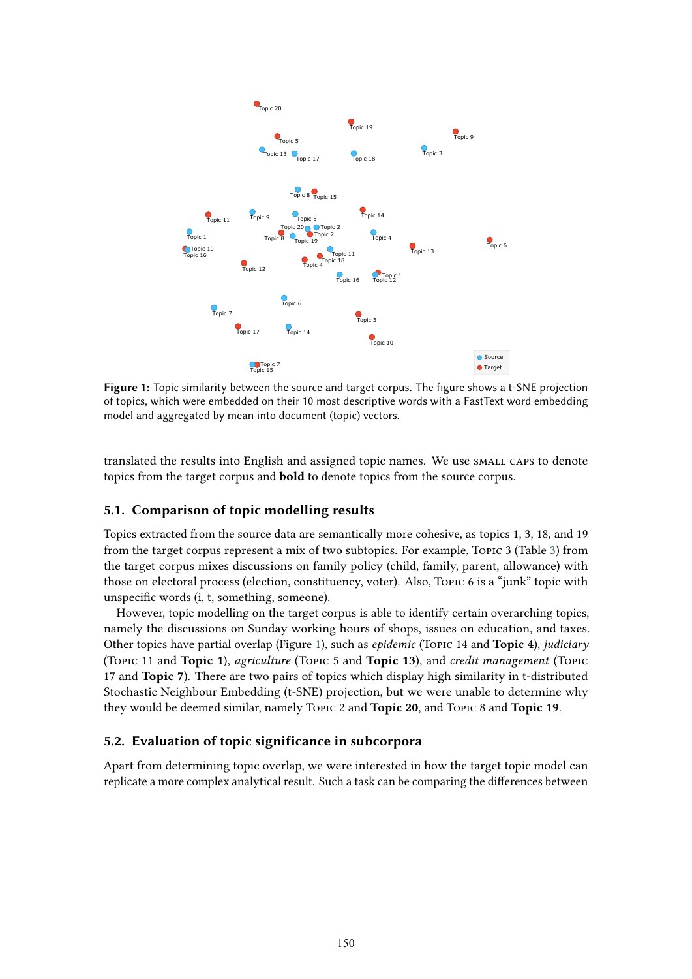<span id="page-4-0"></span>

**Figure 1:** Topic similarity between the source and target corpus. The figure shows a t-SNE projection of topics, which were embedded on their 10 most descriptive words with a FastText word embedding model and aggregated by mean into document (topic) vectors.

translated the results into English and assigned topic names. We use SMALL CAPS to denote topics from the target corpus and **bold** to denote topics from the source corpus.

#### **5.1. Comparison of topic modelling results**

Topics extracted from the source data are semantically more cohesive, as topics 1, 3, 18, and 19 from the target corpus represent a mix of two subtopics. For example, Topic 3 (Table [3\)](#page-10-0) from the target corpus mixes discussions on family policy (child, family, parent, allowance) with those on electoral process (election, constituency, voter). Also, Topic 6 is a "junk" topic with unspecific words (i, t, something, someone).

However, topic modelling on the target corpus is able to identify certain overarching topics, namely the discussions on Sunday working hours of shops, issues on education, and taxes. Other topics have partial overlap (Figure [1\)](#page-4-0), such as *epidemic* (Topic 14 and **Topic 4**), *judiciary* (Topic 11 and **Topic 1**), *agriculture* (Topic 5 and **Topic 13**), and *credit management* (Topic 17 and **Topic 7**). There are two pairs of topics which display high similarity in t-distributed Stochastic Neighbour Embedding (t-SNE) projection, but we were unable to determine why they would be deemed similar, namely Topic 2 and **Topic 20**, and Topic 8 and **Topic 19**.

#### **5.2. Evaluation of topic significance in subcorpora**

Apart from determining topic overlap, we were interested in how the target topic model can replicate a more complex analytical result. Such a task can be comparing the differences between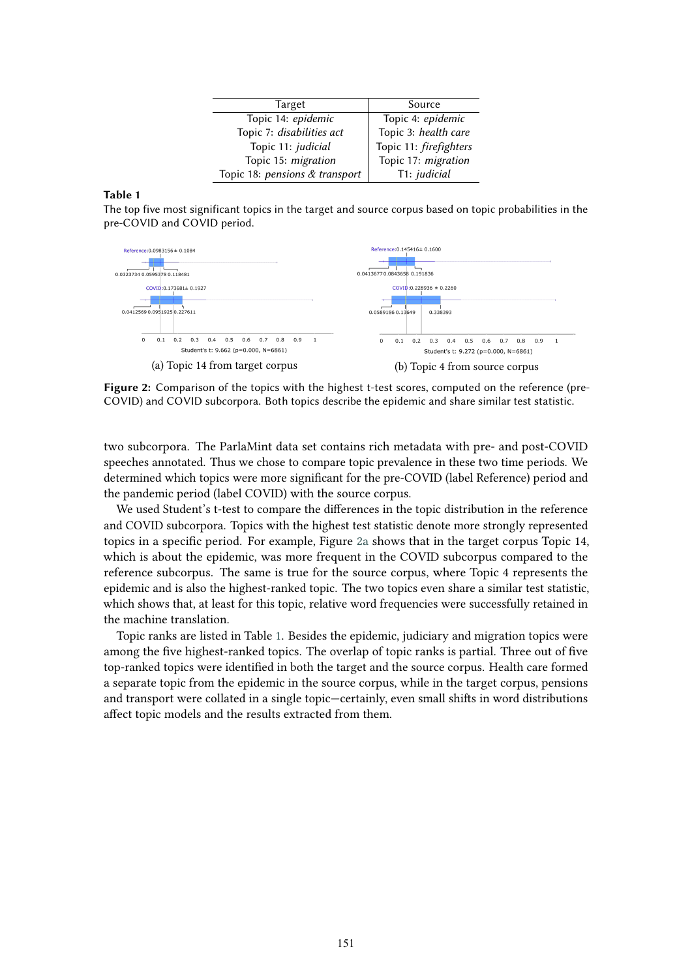| Target                         | Source                 |
|--------------------------------|------------------------|
| Topic 14: epidemic             | Topic 4: epidemic      |
| Topic 7: disabilities act      | Topic 3: health care   |
| Topic 11: judicial             | Topic 11: firefighters |
| Topic 15: migration            | Topic 17: migration    |
| Topic 18: pensions & transport | T1: judicial           |

#### <span id="page-5-1"></span>**Table 1**

The top five most significant topics in the target and source corpus based on topic probabilities in the pre-COVID and COVID period.

<span id="page-5-0"></span>

**Figure 2:** Comparison of the topics with the highest t-test scores, computed on the reference (pre-COVID) and COVID subcorpora. Both topics describe the epidemic and share similar test statistic.

two subcorpora. The ParlaMint data set contains rich metadata with pre- and post-COVID speeches annotated. Thus we chose to compare topic prevalence in these two time periods. We determined which topics were more significant for the pre-COVID (label Reference) period and the pandemic period (label COVID) with the source corpus.

We used Student's t-test to compare the differences in the topic distribution in the reference and COVID subcorpora. Topics with the highest test statistic denote more strongly represented topics in a specific period. For example, Figure [2a](#page-5-0) shows that in the target corpus Topic 14, which is about the epidemic, was more frequent in the COVID subcorpus compared to the reference subcorpus. The same is true for the source corpus, where Topic 4 represents the epidemic and is also the highest-ranked topic. The two topics even share a similar test statistic, which shows that, at least for this topic, relative word frequencies were successfully retained in the machine translation.

Topic ranks are listed in Table [1.](#page-5-1) Besides the epidemic, judiciary and migration topics were among the five highest-ranked topics. The overlap of topic ranks is partial. Three out of five top-ranked topics were identified in both the target and the source corpus. Health care formed a separate topic from the epidemic in the source corpus, while in the target corpus, pensions and transport were collated in a single topic—certainly, even small shifts in word distributions affect topic models and the results extracted from them.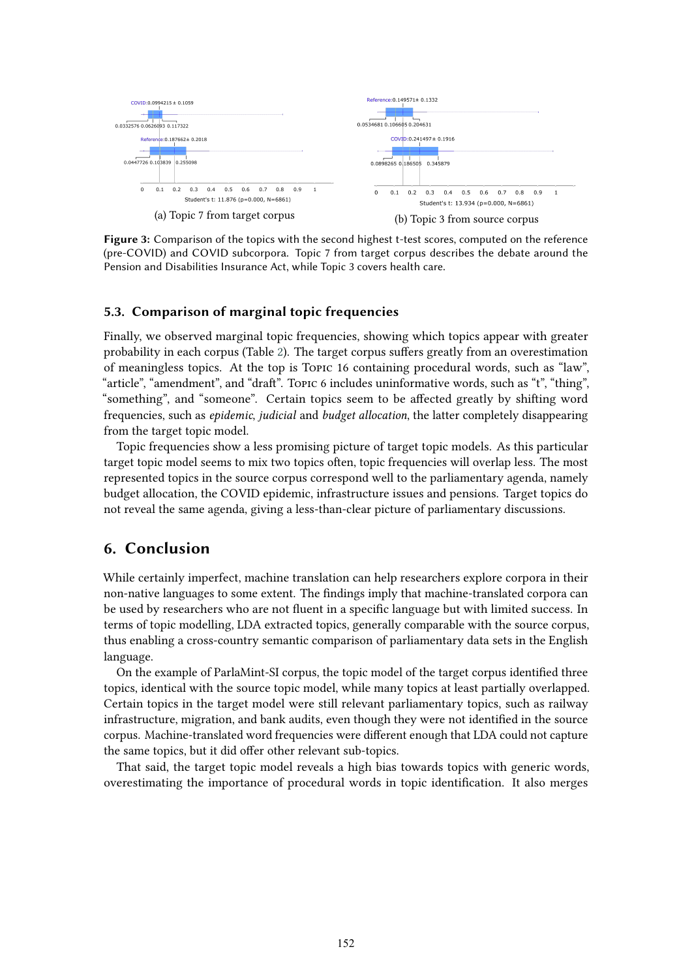

**Figure 3:** Comparison of the topics with the second highest t-test scores, computed on the reference (pre-COVID) and COVID subcorpora. Topic 7 from target corpus describes the debate around the Pension and Disabilities Insurance Act, while Topic 3 covers health care.

#### **5.3. Comparison of marginal topic frequencies**

Finally, we observed marginal topic frequencies, showing which topics appear with greater probability in each corpus (Table [2\)](#page-7-1). The target corpus suffers greatly from an overestimation of meaningless topics. At the top is Topic 16 containing procedural words, such as "law", "article", "amendment", and "draft". Topic 6 includes uninformative words, such as "t", "thing", "something", and "someone". Certain topics seem to be affected greatly by shifting word frequencies, such as *epidemic*, *judicial* and *budget allocation*, the latter completely disappearing from the target topic model.

Topic frequencies show a less promising picture of target topic models. As this particular target topic model seems to mix two topics often, topic frequencies will overlap less. The most represented topics in the source corpus correspond well to the parliamentary agenda, namely budget allocation, the COVID epidemic, infrastructure issues and pensions. Target topics do not reveal the same agenda, giving a less-than-clear picture of parliamentary discussions.

# **6. Conclusion**

While certainly imperfect, machine translation can help researchers explore corpora in their non-native languages to some extent. The findings imply that machine-translated corpora can be used by researchers who are not fluent in a specific language but with limited success. In terms of topic modelling, LDA extracted topics, generally comparable with the source corpus, thus enabling a cross-country semantic comparison of parliamentary data sets in the English language.

On the example of ParlaMint-SI corpus, the topic model of the target corpus identified three topics, identical with the source topic model, while many topics at least partially overlapped. Certain topics in the target model were still relevant parliamentary topics, such as railway infrastructure, migration, and bank audits, even though they were not identified in the source corpus. Machine-translated word frequencies were different enough that LDA could not capture the same topics, but it did offer other relevant sub-topics.

That said, the target topic model reveals a high bias towards topics with generic words, overestimating the importance of procedural words in topic identification. It also merges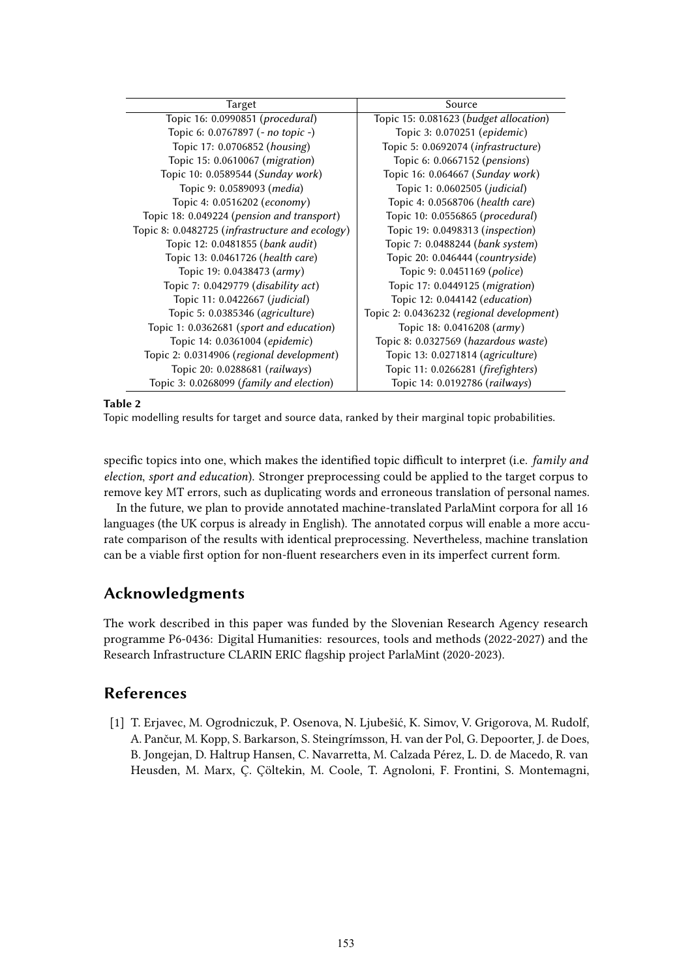<span id="page-7-1"></span>

| Target                                          | Source                                    |
|-------------------------------------------------|-------------------------------------------|
| Topic 16: 0.0990851 (procedural)                | Topic 15: 0.081623 (budget allocation)    |
| Topic 6: 0.0767897 (- no topic -)               | Topic 3: 0.070251 (epidemic)              |
| Topic 17: 0.0706852 (housing)                   | Topic 5: 0.0692074 (infrastructure)       |
| Topic 15: 0.0610067 (migration)                 | Topic 6: 0.0667152 ( <i>pensions</i> )    |
| Topic 10: 0.0589544 (Sunday work)               | Topic 16: 0.064667 (Sunday work)          |
| Topic 9: 0.0589093 ( <i>media</i> )             | Topic 1: 0.0602505 (judicial)             |
| Topic 4: 0.0516202 (economy)                    | Topic 4: 0.0568706 (health care)          |
| Topic 18: 0.049224 (pension and transport)      | Topic 10: 0.0556865 (procedural)          |
| Topic 8: 0.0482725 (infrastructure and ecology) | Topic 19: 0.0498313 ( <i>inspection</i> ) |
| Topic 12: 0.0481855 (bank audit)                | Topic 7: 0.0488244 (bank system)          |
| Topic 13: 0.0461726 (health care)               | Topic 20: 0.046444 (countryside)          |
| Topic 19: 0.0438473 (army)                      | Topic 9: 0.0451169 (police)               |
| Topic 7: 0.0429779 (disability act)             | Topic 17: 0.0449125 (migration)           |
| Topic 11: 0.0422667 (judicial)                  | Topic 12: 0.044142 (education)            |
| Topic 5: 0.0385346 (agriculture)                | Topic 2: 0.0436232 (regional development) |
| Topic 1: 0.0362681 (sport and education)        | Topic 18: 0.0416208 (army)                |
| Topic 14: 0.0361004 (epidemic)                  | Topic 8: 0.0327569 (hazardous waste)      |
| Topic 2: 0.0314906 (regional development)       | Topic 13: 0.0271814 (agriculture)         |
| Topic 20: 0.0288681 (railways)                  | Topic 11: 0.0266281 (firefighters)        |
| Topic 3: 0.0268099 (family and election)        | Topic 14: 0.0192786 (railways)            |

#### **Table 2**

Topic modelling results for target and source data, ranked by their marginal topic probabilities.

specific topics into one, which makes the identified topic difficult to interpret (i.e. *family and election*, *sport and education*). Stronger preprocessing could be applied to the target corpus to remove key MT errors, such as duplicating words and erroneous translation of personal names.

In the future, we plan to provide annotated machine-translated ParlaMint corpora for all 16 languages (the UK corpus is already in English). The annotated corpus will enable a more accurate comparison of the results with identical preprocessing. Nevertheless, machine translation can be a viable first option for non-fluent researchers even in its imperfect current form.

# **Acknowledgments**

The work described in this paper was funded by the Slovenian Research Agency research programme P6-0436: Digital Humanities: resources, tools and methods (2022-2027) and the Research Infrastructure CLARIN ERIC flagship project ParlaMint (2020-2023).

# **References**

<span id="page-7-0"></span>[1] T. Erjavec, M. Ogrodniczuk, P. Osenova, N. Ljubešić, K. Simov, V. Grigorova, M. Rudolf, A. Pančur, M. Kopp, S. Barkarson, S. Steingrímsson, H. van der Pol, G. Depoorter, J. de Does, B. Jongejan, D. Haltrup Hansen, C. Navarretta, M. Calzada Pérez, L. D. de Macedo, R. van Heusden, M. Marx, Ç. Çöltekin, M. Coole, T. Agnoloni, F. Frontini, S. Montemagni,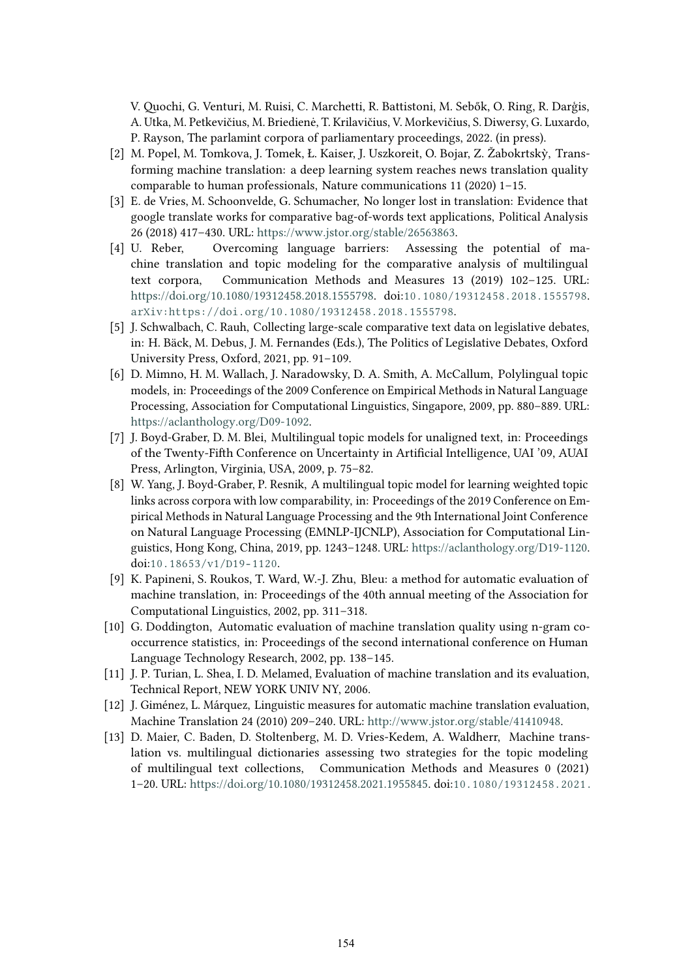V. Quochi, G. Venturi, M. Ruisi, C. Marchetti, R. Battistoni, M. Sebők, O. Ring, R. Darģis, A. Utka, M. Petkevičius, M. Briedienė, T. Krilavičius, V. Morkevičius, S. Diwersy, G. Luxardo, P. Rayson, The parlamint corpora of parliamentary proceedings, 2022. (in press).

- [2] M. Popel, M. Tomkova, J. Tomek, Ł. Kaiser, J. Uszkoreit, O. Bojar, Z. Žabokrtskỳ, Transforming machine translation: a deep learning system reaches news translation quality comparable to human professionals, Nature communications 11 (2020) 1–15.
- <span id="page-8-0"></span>[3] E. de Vries, M. Schoonvelde, G. Schumacher, No longer lost in translation: Evidence that google translate works for comparative bag-of-words text applications, Political Analysis 26 (2018) 417–430. URL: [https://www.jstor.org/stable/26563863.](https://www.jstor.org/stable/26563863)
- <span id="page-8-1"></span>[4] U. Reber, Overcoming language barriers: Assessing the potential of machine translation and topic modeling for the comparative analysis of multilingual text corpora, Communication Methods and Measures 13 (2019) 102–125. URL: [https://doi.org/10.1080/19312458.2018.1555798.](https://doi.org/10.1080/19312458.2018.1555798) doi:[10.1080/19312458.2018.1555798](http://dx.doi.org/10.1080/19312458.2018.1555798). [arXiv:https://doi.org/10.1080/19312458.2018.1555798](http://arxiv.org/abs/https://doi.org/10.1080/19312458.2018.1555798).
- <span id="page-8-2"></span>[5] J. Schwalbach, C. Rauh, Collecting large-scale comparative text data on legislative debates, in: H. Bäck, M. Debus, J. M. Fernandes (Eds.), The Politics of Legislative Debates, Oxford University Press, Oxford, 2021, pp. 91–109.
- <span id="page-8-3"></span>[6] D. Mimno, H. M. Wallach, J. Naradowsky, D. A. Smith, A. McCallum, Polylingual topic models, in: Proceedings of the 2009 Conference on Empirical Methods in Natural Language Processing, Association for Computational Linguistics, Singapore, 2009, pp. 880–889. URL: [https://aclanthology.org/D09-1092.](https://aclanthology.org/D09-1092)
- <span id="page-8-4"></span>[7] J. Boyd-Graber, D. M. Blei, Multilingual topic models for unaligned text, in: Proceedings of the Twenty-Fifth Conference on Uncertainty in Artificial Intelligence, UAI '09, AUAI Press, Arlington, Virginia, USA, 2009, p. 75–82.
- <span id="page-8-5"></span>[8] W. Yang, J. Boyd-Graber, P. Resnik, A multilingual topic model for learning weighted topic links across corpora with low comparability, in: Proceedings of the 2019 Conference on Empirical Methods in Natural Language Processing and the 9th International Joint Conference on Natural Language Processing (EMNLP-IJCNLP), Association for Computational Linguistics, Hong Kong, China, 2019, pp. 1243–1248. URL: [https://aclanthology.org/D19-1120.](https://aclanthology.org/D19-1120) doi:[10.18653/v1/D19- 1120](http://dx.doi.org/10.18653/v1/D19-1120).
- <span id="page-8-6"></span>[9] K. Papineni, S. Roukos, T. Ward, W.-J. Zhu, Bleu: a method for automatic evaluation of machine translation, in: Proceedings of the 40th annual meeting of the Association for Computational Linguistics, 2002, pp. 311–318.
- <span id="page-8-7"></span>[10] G. Doddington, Automatic evaluation of machine translation quality using n-gram cooccurrence statistics, in: Proceedings of the second international conference on Human Language Technology Research, 2002, pp. 138–145.
- <span id="page-8-8"></span>[11] J. P. Turian, L. Shea, I. D. Melamed, Evaluation of machine translation and its evaluation, Technical Report, NEW YORK UNIV NY, 2006.
- <span id="page-8-9"></span>[12] J. Giménez, L. Márquez, Linguistic measures for automatic machine translation evaluation, Machine Translation 24 (2010) 209–240. URL: [http://www.jstor.org/stable/41410948.](http://www.jstor.org/stable/41410948)
- <span id="page-8-10"></span>[13] D. Maier, C. Baden, D. Stoltenberg, M. D. Vries-Kedem, A. Waldherr, Machine translation vs. multilingual dictionaries assessing two strategies for the topic modeling of multilingual text collections, Communication Methods and Measures 0 (2021) 1–20. URL: [https://doi.org/10.1080/19312458.2021.1955845.](https://doi.org/10.1080/19312458.2021.1955845) doi:[10.1080/19312458.2021.](http://dx.doi.org/10.1080/19312458.2021.1955845)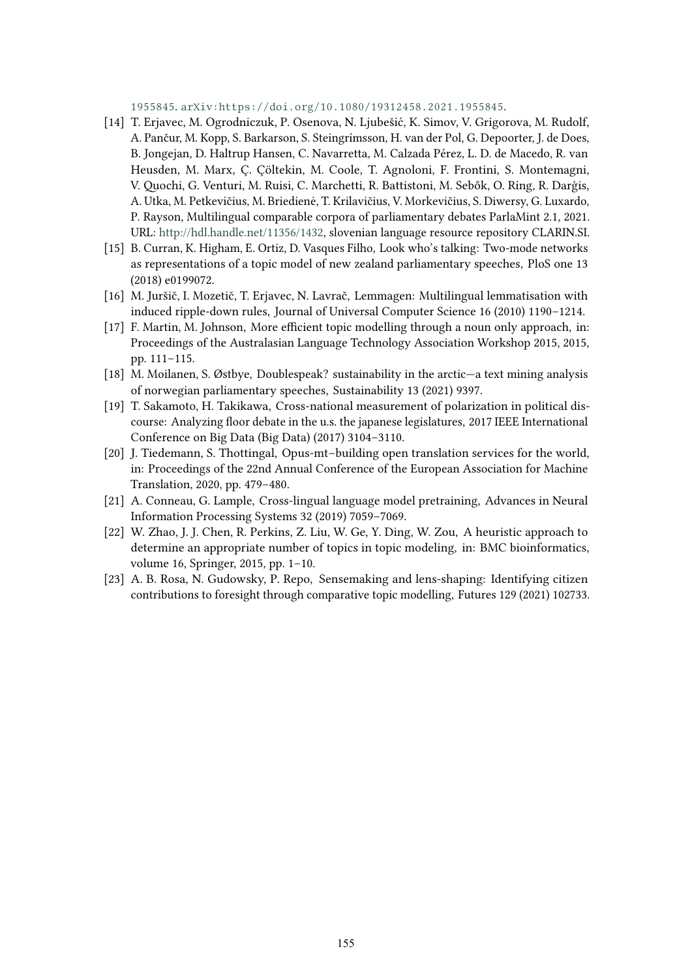[1955845](http://dx.doi.org/10.1080/19312458.2021.1955845). [arXiv:https://doi.org/10.1080/19312458.2021.1955845](http://arxiv.org/abs/https://doi.org/10.1080/19312458.2021.1955845).

- <span id="page-9-0"></span>[14] T. Erjavec, M. Ogrodniczuk, P. Osenova, N. Ljubešić, K. Simov, V. Grigorova, M. Rudolf, A. Pančur, M. Kopp, S. Barkarson, S. Steingrímsson, H. van der Pol, G. Depoorter, J. de Does, B. Jongejan, D. Haltrup Hansen, C. Navarretta, M. Calzada Pérez, L. D. de Macedo, R. van Heusden, M. Marx, Ç. Çöltekin, M. Coole, T. Agnoloni, F. Frontini, S. Montemagni, V. Quochi, G. Venturi, M. Ruisi, C. Marchetti, R. Battistoni, M. Sebők, O. Ring, R. Darģis, A. Utka, M. Petkevičius, M. Briedienė, T. Krilavičius, V. Morkevičius, S. Diwersy, G. Luxardo, P. Rayson, Multilingual comparable corpora of parliamentary debates ParlaMint 2.1, 2021. URL: [http://hdl.handle.net/11356/1432,](http://hdl.handle.net/11356/1432) slovenian language resource repository CLARIN.SI.
- <span id="page-9-1"></span>[15] B. Curran, K. Higham, E. Ortiz, D. Vasques Filho, Look who's talking: Two-mode networks as representations of a topic model of new zealand parliamentary speeches, PloS one 13 (2018) e0199072.
- <span id="page-9-2"></span>[16] M. Juršič, I. Mozetič, T. Erjavec, N. Lavrač, Lemmagen: Multilingual lemmatisation with induced ripple-down rules, Journal of Universal Computer Science 16 (2010) 1190–1214.
- <span id="page-9-3"></span>[17] F. Martin, M. Johnson, More efficient topic modelling through a noun only approach, in: Proceedings of the Australasian Language Technology Association Workshop 2015, 2015, pp. 111–115.
- <span id="page-9-4"></span>[18] M. Moilanen, S. Østbye, Doublespeak? sustainability in the arctic—a text mining analysis of norwegian parliamentary speeches, Sustainability 13 (2021) 9397.
- <span id="page-9-5"></span>[19] T. Sakamoto, H. Takikawa, Cross-national measurement of polarization in political discourse: Analyzing floor debate in the u.s. the japanese legislatures, 2017 IEEE International Conference on Big Data (Big Data) (2017) 3104–3110.
- <span id="page-9-6"></span>[20] J. Tiedemann, S. Thottingal, Opus-mt-building open translation services for the world, in: Proceedings of the 22nd Annual Conference of the European Association for Machine Translation, 2020, pp. 479–480.
- <span id="page-9-7"></span>[21] A. Conneau, G. Lample, Cross-lingual language model pretraining, Advances in Neural Information Processing Systems 32 (2019) 7059–7069.
- <span id="page-9-8"></span>[22] W. Zhao, J. J. Chen, R. Perkins, Z. Liu, W. Ge, Y. Ding, W. Zou, A heuristic approach to determine an appropriate number of topics in topic modeling, in: BMC bioinformatics, volume 16, Springer, 2015, pp. 1–10.
- <span id="page-9-9"></span>[23] A. B. Rosa, N. Gudowsky, P. Repo, Sensemaking and lens-shaping: Identifying citizen contributions to foresight through comparative topic modelling, Futures 129 (2021) 102733.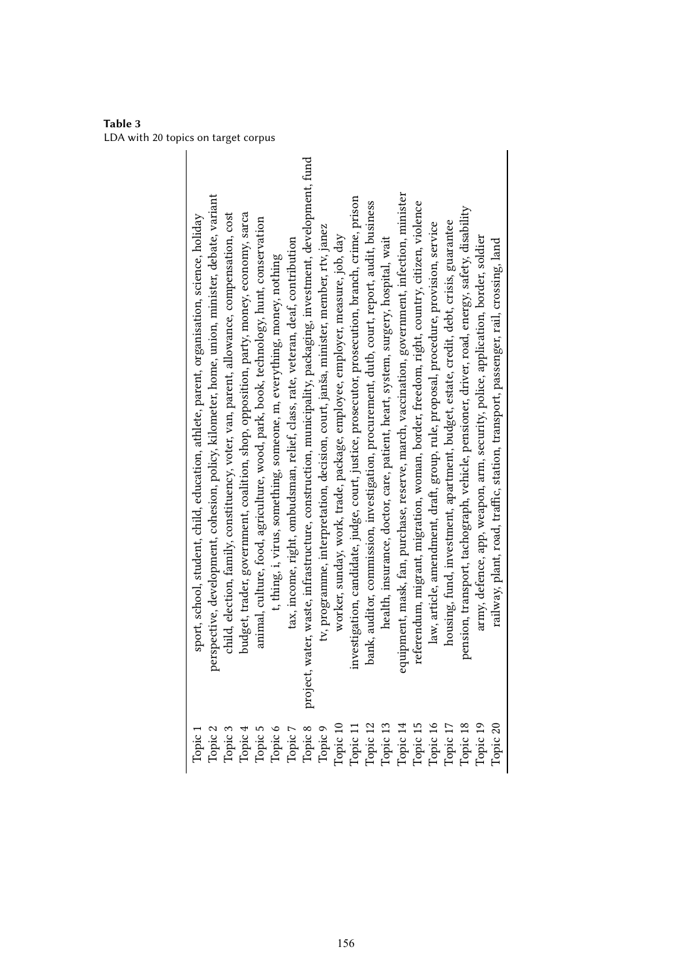<span id="page-10-0"></span>**Table 3** LDA with 20 topics on target corpus

| sport, school, student, child, education, athlete, parent, organisation, science, holiday | perspective, development, cohesion, policy, kilometer, home, union, minister, debate, variant | child, election, family, constituency, voter, van, parent, allowance, compensation, cost | budget, trader, government, coalition, shop, opposition, party, money, economy, sarca | animal, culture, food, agriculture, wood, park, book, technology, hunt, conservation | t, thing, i, virus, something, someone, m, everything, money, nothing                                                                                                                                                                                                                                                                                                                                                                                                                                         | tax, income, right, ombudsman, relief, class, rate, veteran, deaf, contribution | water, waste, infrastructure, construction, municipality, packaging, investment, development, fund<br>project. | tv, programme, interpretation, decision, court, janša, minister, member, rtv, janez | worker, sunday, work, trade, package, employee, employer, measure, job, day | investigation, candidate, judge, court, justice, prosecutor, prosecution, branch, crime, prison | bank, auditor, commission, investigation, procurement, dutb, court, report, audit, business | health, insurance, doctor, care, patient, heart, system, surgery, hospital, wait | equipment, mask, fan, purchase, reserve, march, vaccination, government, infection, minister | referendum, migrant, migration, woman, border, freedom, right, country, citizen, violence | law, article, amendment, draft, group, rule, proposal, procedure, provision, service | housing, fund, investment, apartment, budget, estate, credit, debt, crisis, guarantee | pension, transport, tachograph, vehicle, pensioner, driver, road, energy, safety, disability | army, defence, app, weapon, arm, security, police, application, border, soldier | railway, plant, road, traffic, station, transport, passenger, rail, crossing, land |
|-------------------------------------------------------------------------------------------|-----------------------------------------------------------------------------------------------|------------------------------------------------------------------------------------------|---------------------------------------------------------------------------------------|--------------------------------------------------------------------------------------|---------------------------------------------------------------------------------------------------------------------------------------------------------------------------------------------------------------------------------------------------------------------------------------------------------------------------------------------------------------------------------------------------------------------------------------------------------------------------------------------------------------|---------------------------------------------------------------------------------|----------------------------------------------------------------------------------------------------------------|-------------------------------------------------------------------------------------|-----------------------------------------------------------------------------|-------------------------------------------------------------------------------------------------|---------------------------------------------------------------------------------------------|----------------------------------------------------------------------------------|----------------------------------------------------------------------------------------------|-------------------------------------------------------------------------------------------|--------------------------------------------------------------------------------------|---------------------------------------------------------------------------------------|----------------------------------------------------------------------------------------------|---------------------------------------------------------------------------------|------------------------------------------------------------------------------------|
|                                                                                           |                                                                                               |                                                                                          |                                                                                       |                                                                                      | $\begin{tabular}{l} \hline \textbf{Topic 1} \\ \textbf{Topic 2} \\ \textbf{Topic 3} \\ \textbf{Topic 4} \\ \textbf{Topic 5} \\ \textbf{Topic 6} \\ \textbf{Topic 7} \\ \textbf{Topic 8} \\ \textbf{Topic 9} \\ \textbf{Topic 1} \\ \textbf{Topic 1} \\ \textbf{Topic 2} \\ \textbf{Topic 1} \\ \textbf{Topic 2} \\ \textbf{Topic 3} \\ \textbf{Topic 4} \\ \textbf{Topic 5} \\ \textbf{Topic 6} \\ \textbf{Topic 7} \\ \textbf{Topic 8} \\ \textbf{Topic 9} \\ \textbf{Topic 1} \\ \textbf{Topic 1} \\ \text$ |                                                                                 |                                                                                                                |                                                                                     |                                                                             |                                                                                                 |                                                                                             |                                                                                  |                                                                                              |                                                                                           |                                                                                      |                                                                                       |                                                                                              |                                                                                 |                                                                                    |